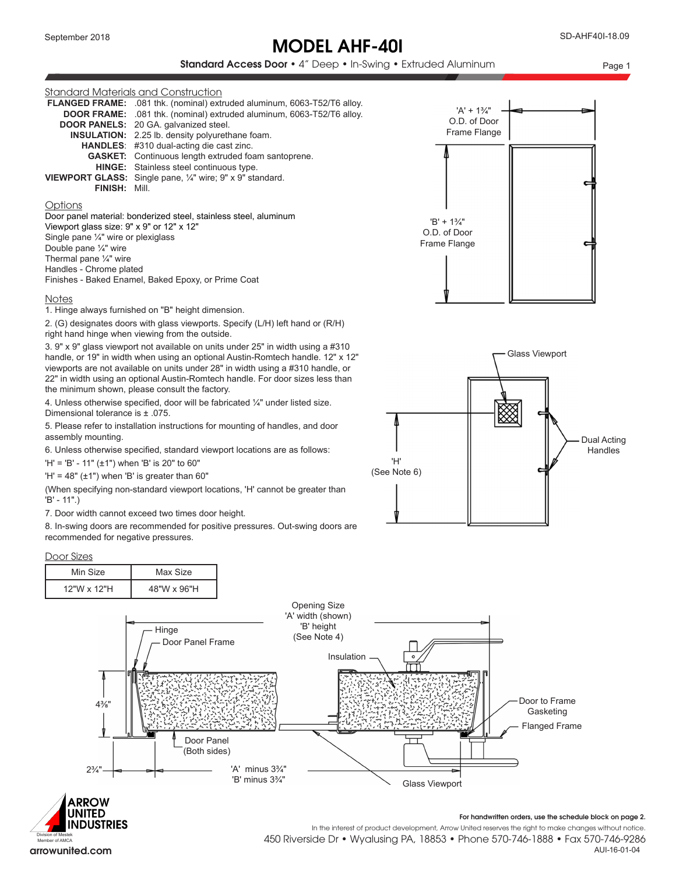# MODEL AHF-40I

### Standard Access Door • 4" Deep • In-Swing • Extruded Aluminum Page 1